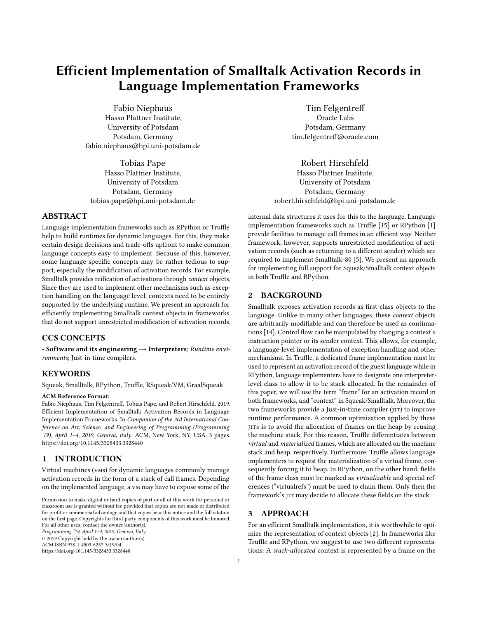# Efficient Implementation of Smalltalk Activation Records in Language Implementation Frameworks

Fabio Niephaus Hasso Plattner Institute, University of Potsdam Potsdam, Germany fabio.niephaus@hpi.uni-potsdam.de

Tobias Pape Hasso Plattner Institute, University of Potsdam Potsdam, Germany tobias.pape@hpi.uni-potsdam.de

#### ABSTRACT

Language implementation frameworks such as RPython or Truffle help to build runtimes for dynamic languages. For this, they make certain design decisions and trade-offs upfront to make common language concepts easy to implement. Because of this, however, some language-specific concepts may be rather tedious to support, especially the modification of activation records. For example, Smalltalk provides reification of activations through context objects. Since they are used to implement other mechanisms such as exception handling on the language level, contexts need to be entirely supported by the underlying runtime. We present an approach for efficiently implementing Smalltalk context objects in frameworks that do not support unrestricted modification of activation records.

# CCS CONCEPTS

• Software and its engineering  $\rightarrow$  Interpreters; Runtime environments; Just-in-time compilers.

# **KEYWORDS**

Squeak, Smalltalk, RPython, Truffle, RSqueak/VM, GraalSqueak

#### ACM Reference Format:

Fabio Niephaus, Tim Felgentreff, Tobias Pape, and Robert Hirschfeld. 2019. Efficient Implementation of Smalltalk Activation Records in Language Implementation Frameworks. In Companion of the 3rd International Conference on Art, Science, and Engineering of Programming (Programming '19), April 1–4, 2019, Genova, Italy. ACM, New York, NY, USA, [3](#page-2-0) pages. <https://doi.org/10.1145/3328433.3328440>

### 1 INTRODUCTION

Virtual machines (vms) for dynamic languages commonly manage activation records in the form of a stack of call frames. Depending on the implemented language, a vm may have to expose some of the

Programming '19, April 1–4, 2019, Genova, Italy

© 2019 Copyright held by the owner/author(s). ACM ISBN 978-1-4503-6257-3/19/04.

<https://doi.org/10.1145/3328433.3328440>

Tim Felgentreff Oracle Labs Potsdam, Germany tim.felgentreff@oracle.com

Robert Hirschfeld Hasso Plattner Institute, University of Potsdam Potsdam, Germany robert.hirschfeld@hpi.uni-potsdam.de

internal data structures it uses for this to the language. Language implementation frameworks such as Truffle [\[15\]](#page-2-1) or RPython [\[1\]](#page-2-2) provide facilities to manage call frames in an efficient way. Neither framework, however, supports unrestricted modification of activation records (such as returning to a different sender) which are required to implement Smalltalk-80 [\[5\]](#page-2-3). We present an approach for implementing full support for Squeak/Smalltalk context objects in both Truffle and RPython.

# 2 BACKGROUND

Smalltalk exposes activation records as first-class objects to the language. Unlike in many other languages, these context objects are arbitrarily modifiable and can therefore be used as continuations [\[14\]](#page-2-4). Control flow can be manipulated by changing a context's instruction pointer or its sender context. This allows, for example, a language-level implementation of exception handling and other mechanisms. In Truffle, a dedicated frame implementation must be used to represent an activation record of the guest language while in RPython, language implementers have to designate one interpreterlevel class to allow it to be stack-allocated. In the remainder of this paper, we will use the term "frame" for an activation record in both frameworks, and "context" in Squeak/Smalltalk. Moreover, the two frameworks provide a Just-in-time compiler (JIT) to improve runtime performance. A common optimization applied by these jits is to avoid the allocation of frames on the heap by reusing the machine stack. For this reason, Truffle differentiates between virtual and materialized frames, which are allocated on the machine stack and heap, respectively. Furthermore, Truffle allows language implementers to request the materialization of a virtual frame, consequently forcing it to heap. In RPython, on the other hand, fields of the frame class must be marked as virtualizable and special references ("virtualrefs") must be used to chain them. Only then the framework's JIT may decide to allocate these fields on the stack.

## 3 APPROACH

For an efficient Smalltalk implementation, it is worthwhile to optimize the representation of context objects [\[2\]](#page-2-5). In frameworks like Truffle and RPython, we suggest to use two different representations: A stack-allocated context is represented by a frame on the

Permission to make digital or hard copies of part or all of this work for personal or classroom use is granted without fee provided that copies are not made or distributed for profit or commercial advantage and that copies bear this notice and the full citation on the first page. Copyrights for third-party components of this work must be honored. For all other uses, contact the owner/author(s).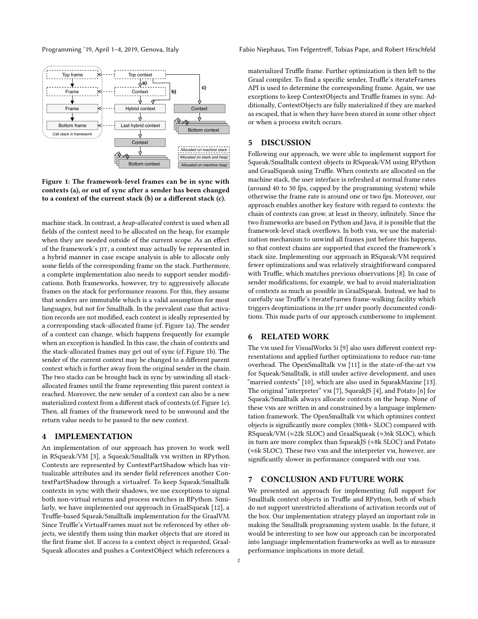<span id="page-1-0"></span>

Figure 1: The framework-level frames can be in sync with contexts (a), or out of sync after a sender has been changed to a context of the current stack (b) or a different stack (c).

machine stack. In contrast, a heap-allocated context is used when all fields of the context need to be allocated on the heap, for example when they are needed outside of the current scope. As an effect of the framework's JIT, a context may actually be represented in a hybrid manner in case escape analysis is able to allocate only some fields of the corresponding frame on the stack. Furthermore, a complete implementation also needs to support sender modifications. Both frameworks, however, try to aggressively allocate frames on the stack for performance reasons. For this, they assume that senders are immutable which is a valid assumption for most languages, but not for Smalltalk. In the prevalent case that activation records are not modified, each context is ideally represented by a corresponding stack-allocated frame (cf. [Figure 1a](#page-1-0)). The sender of a context can change, which happens frequently for example when an exception is handled. In this case, the chain of contexts and the stack-allocated frames may get out of sync (cf. [Figure 1b](#page-1-0)). The sender of the current context may be changed to a different parent context which is further away from the original sender in the chain. The two stacks can be brought back in sync by unwinding all stackallocated frames until the frame representing this parent context is reached. Moreover, the new sender of a context can also be a new materialized context from a different stack of contexts (cf. [Figure 1c](#page-1-0)). Then, all frames of the framework need to be unwound and the return value needs to be passed to the new context.

## 4 IMPLEMENTATION

An implementation of our approach has proven to work well in RSqueak/VM [\[3\]](#page-2-6), a Squeak/Smalltalk vm written in RPython. Contexts are represented by ContextPartShadow which has virtualizable attributes and its sender field references another ContextPartShadow through a virtualref. To keep Squeak/Smalltalk contexts in sync with their shadows, we use exceptions to signal both non-virtual returns and process switches in RPython. Similarly, we have implemented our approach in GraalSqueak [\[12\]](#page-2-7), a Truffle-based Squeak/Smalltalk implementation for the GraalVM. Since Truffle's VirtualFrames must not be referenced by other objects, we identify them using thin marker objects that are stored in the first frame slot. If access to a context object is requested, Graal-Squeak allocates and pushes a ContextObject which references a

Programming '19, April 1–4, 2019, Genova, Italy Fabio Niephaus, Tim Felgentreff, Tobias Pape, and Robert Hirschfeld

materialized Truffle frame. Further optimization is then left to the Graal compiler. To find a specific sender, Truffle's iterateFrames API is used to determine the corresponding frame. Again, we use exceptions to keep ContextObjects and Truffle frames in sync. Additionally, ContextObjects are fully materialized if they are marked as escaped, that is when they have been stored in some other object or when a process switch occurs.

# 5 DISCUSSION

Following our approach, we were able to implement support for Squeak/Smalltalk context objects in RSqueak/VM using RPython and GraalSqueak using Truffle. When contexts are allocated on the machine stack, the user interface is refreshed at normal frame rates (around 40 to 50 fps, capped by the programming system) while otherwise the frame rate is around one or two fps. Moreover, our approach enables another key feature with regard to contexts: the chain of contexts can grow, at least in theory, infinitely. Since the two frameworks are based on Python and Java, it is possible that the framework-level stack overflows. In both vms, we use the materialization mechanism to unwind all frames just before this happens, so that context chains are supported that exceed the framework's stack size. Implementing our approach in RSqueak/VM required fewer optimizations and was relatively straightforward compared with Truffle, which matches previous observations [\[8\]](#page-2-8). In case of sender modifications, for example, we had to avoid materialization of contexts as much as possible in GraalSqueak. Instead, we had to carefully use Truffle's iterateFrames frame-walking facility which triggers deoptimizations in the JIT under poorly documented conditions. This made parts of our approach cumbersome to implement.

# 6 RELATED WORK

The vm used for VisualWorks 5i [\[9\]](#page-2-9) also uses different context representations and applied further optimizations to reduce run-time overhead. The OpenSmalltalk vm [\[11\]](#page-2-10) is the state-of-the-art vm for Squeak/Smalltalk, is still under active development, and uses "married contexts" [\[10\]](#page-2-11), which are also used in SqueakMaxine [\[13\]](#page-2-12). The original "interpreter" vm [\[7\]](#page-2-13), SqueakJS [\[4\]](#page-2-14), and Potato [\[6\]](#page-2-15) for Squeak/Smalltalk always allocate contexts on the heap. None of these vms are written in and constrained by a language implementation framework. The OpenSmalltalk vm which optimizes context objects is significantly more complex (300k+ SLOC) compared with RSqueak/VM (≈22k SLOC) and GraalSqueak (≈36k SLOC), which in turn are more complex than SqueakJS (≈8k SLOC) and Potato (≈6k SLOC). These two vms and the interpreter vm, however, are significantly slower in performance compared with our vms.

#### 7 CONCLUSION AND FUTURE WORK

We presented an approach for implementing full support for Smalltalk context objects in Truffle and RPython, both of which do not support unrestricted alterations of activation records out of the box. Our implementation strategy played an important role in making the Smalltalk programming system usable. In the future, it would be interesting to see how our approach can be incorporated into language implementation frameworks as well as to measure performance implications in more detail.